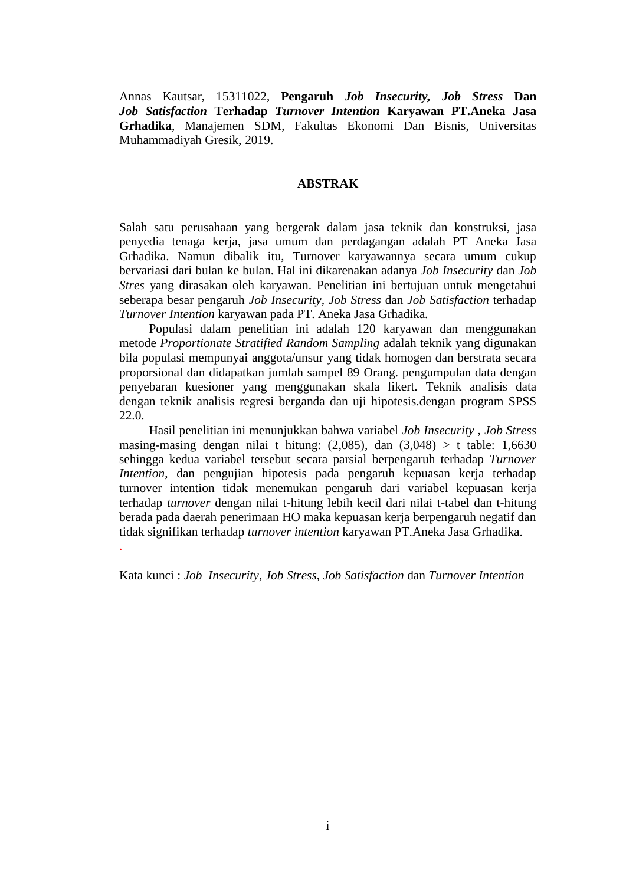Annas Kautsar, 15311022, **Pengaruh** *Job Insecurity, Job Stress* **Dan** *Job Satisfaction* **Terhadap** *Turnover Intention* **Karyawan PT.Aneka Jasa Grhadika**, Manajemen SDM, Fakultas Ekonomi Dan Bisnis, Universitas Muhammadiyah Gresik, 2019.

## **ABSTRAK**

Salah satu perusahaan yang bergerak dalam jasa teknik dan konstruksi, jasa penyedia tenaga kerja, jasa umum dan perdagangan adalah PT Aneka Jasa Grhadika. Namun dibalik itu, Turnover karyawannya secara umum cukup bervariasi dari bulan ke bulan. Hal ini dikarenakan adanya *Job Insecurity* dan *Job Stres* yang dirasakan oleh karyawan. Penelitian ini bertujuan untuk mengetahui seberapa besar pengaruh *Job Insecurity, Job Stress* dan *Job Satisfaction* terhadap *Turnover Intention* karyawan pada PT. Aneka Jasa Grhadika*.*

Populasi dalam penelitian ini adalah 120 karyawan dan menggunakan metode *Proportionate Stratified Random Sampling* adalah teknik yang digunakan bila populasi mempunyai anggota/unsur yang tidak homogen dan berstrata secara proporsional dan didapatkan jumlah sampel 89 Orang. pengumpulan data dengan penyebaran kuesioner yang menggunakan skala likert. Teknik analisis data dengan teknik analisis regresi berganda dan uji hipotesis.dengan program SPSS 22.0.

Hasil penelitian ini menunjukkan bahwa variabel *Job Insecurity* , *Job Stress* masing-masing dengan nilai t hitung:  $(2,085)$ , dan  $(3,048) > t$  table: 1,6630 sehingga kedua variabel tersebut secara parsial berpengaruh terhadap *Turnover Intention*, dan pengujian hipotesis pada pengaruh kepuasan kerja terhadap turnover intention tidak menemukan pengaruh dari variabel kepuasan kerja terhadap *turnover* dengan nilai t-hitung lebih kecil dari nilai t-tabel dan t-hitung berada pada daerah penerimaan HO maka kepuasan kerja berpengaruh negatif dan tidak signifikan terhadap *turnover intention* karyawan PT.Aneka Jasa Grhadika. .

Kata kunci : *Job Insecurity, Job Stress*, *Job Satisfaction* dan *Turnover Intention*